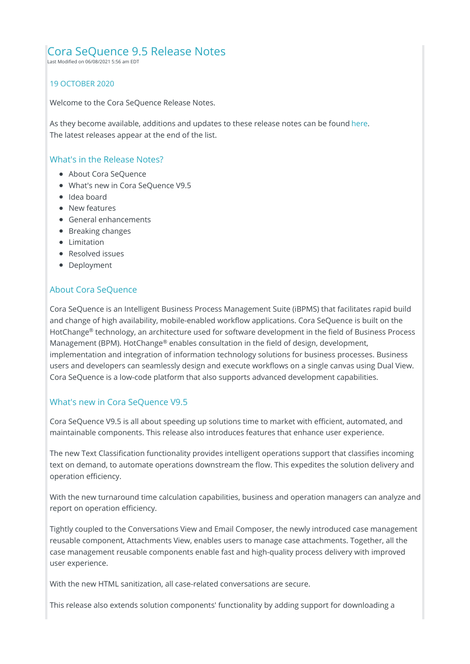## Cora SeQuence 9.5 Release Notes

Last Modified on 06/08/2021 5:56 am EDT

#### 19 OCTOBER 2020

Welcome to the Cora SeQuence Release Notes.

As they become available, additions and updates to these release notes can be found here. The latest releases appear at the end of the list.

### What's in the Release Notes?

- About Cora SeQuence
- What's new in Cora SeQuence V9.5
- Idea board
- New features
- General enhancements
- Breaking changes
- Limitation
- Resolved issues
- Deployment

#### About Cora SeQuence

Cora SeQuence is an Intelligent Business Process Management Suite (iBPMS) that facilitates rapid build and change of high availability, mobile-enabled workflow applications. Cora SeQuence is built on the HotChange® technology, an architecture used for software development in the field of Business Process Management (BPM). HotChange® enables consultation in the field of design, development, implementation and integration of information technology solutions for business processes. Business users and developers can seamlessly design and execute workflows on a single canvas using Dual View. Cora SeQuence is a low-code platform that also supports advanced development capabilities.

### What's new in Cora SeQuence V9.5

Cora SeQuence V9.5 is all about speeding up solutions time to market with efficient, automated, and maintainable components. This release also introduces features that enhance user experience.

The new Text Classification functionality provides intelligent operations support that classifies incoming text on demand, to automate operations downstream the flow. This expedites the solution delivery and operation efficiency.

With the new turnaround time calculation capabilities, business and operation managers can analyze and report on operation efficiency.

Tightly coupled to the Conversations View and Email Composer, the newly introduced case management reusable component, Attachments View, enables users to manage case attachments. Together, all the case management reusable components enable fast and high-quality process delivery with improved user experience.

With the new HTML sanitization, all case-related conversations are secure.

This release also extends solution components' functionality by adding support for downloading a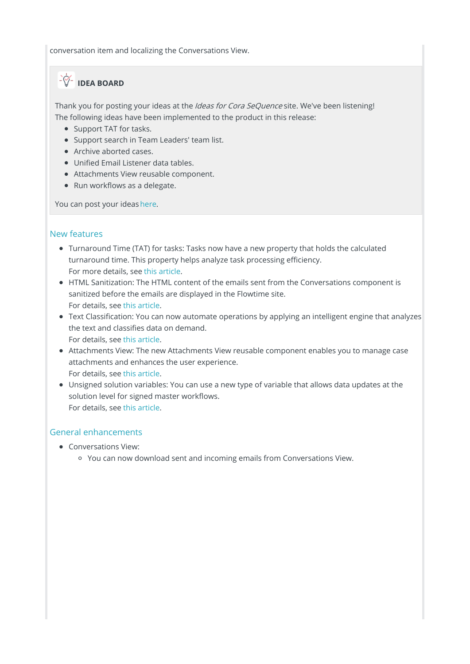conversation item and localizing the Conversations View.

# **IDEA BOARD**

Thank you for posting your ideas at the *Ideas for Cora SeQuence* site. We've been listening! The following ideas have been implemented to the product in this release:

- Support TAT for tasks.
- Support search in Team Leaders' team list.
- Archive aborted cases.
- Unified Email Listener data tables.
- Attachments View reusable component.
- Run workflows as a delegate.

You can post your ideas here.

### New features

- Turnaround Time (TAT) for tasks: Tasks now have a new property that holds the calculated turnaround time. This property helps analyze task processing efficiency. For more details, see this article.
- HTML Sanitization: The HTML content of the emails sent from the Conversations component is sanitized before the emails are displayed in the Flowtime site. For details, see this article.
- Text Classification: You can now automate operations by applying an intelligent engine that analyzes the text and classifies data on demand. For details, see this article.
- Attachments View: The new Attachments View reusable component enables you to manage case attachments and enhances the user experience. For details, see this article.
- Unsigned solution variables: You can use a new type of variable that allows data updates at the solution level for signed master workflows. For details, see this article.

## General enhancements

- Conversations View:
	- You can now download sent and incoming emails from Conversations View.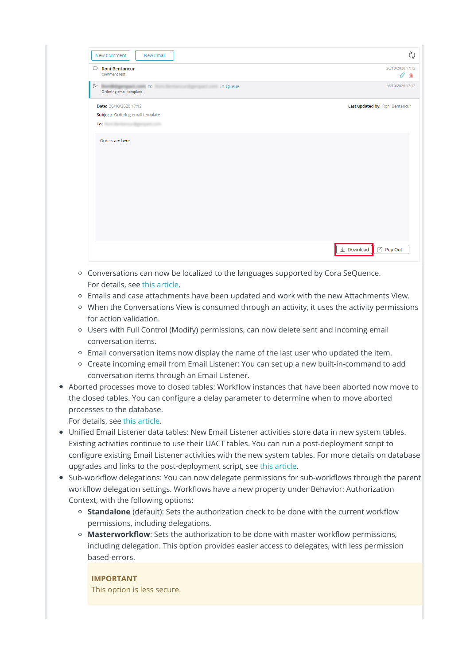| <b>New Comment</b><br>New Email                                                                                                                                                                                                                                                                                                          | $\zeta$                         |
|------------------------------------------------------------------------------------------------------------------------------------------------------------------------------------------------------------------------------------------------------------------------------------------------------------------------------------------|---------------------------------|
| $\Box$ Roni Bentancur<br>Comment test                                                                                                                                                                                                                                                                                                    | 26/10/2020 17:12<br>O<br>俞      |
| $\triangleright$<br>to to<br>In Queue<br>Ordering email template                                                                                                                                                                                                                                                                         | 26/10/2020 17:12                |
| Date: 26/10/2020 17:12<br>Subject: Ordering email template<br>To: the contract of the contract of the contract of the contract of the contract of the contract of the contract of the contract of the contract of the contract of the contract of the contract of the contract of the contra<br><b><i><u>Distances of Boosts</u></i></b> | Last updated by: Roni Bentancur |
| Orders are here                                                                                                                                                                                                                                                                                                                          |                                 |
|                                                                                                                                                                                                                                                                                                                                          | Pop Out<br>$\perp$ Download     |

- Conversations can now be localized to the languages supported by Cora SeQuence. For details, see this article.
- Emails and case attachments have been updated and work with the new Attachments View.
- When the Conversations View is consumed through an activity, it uses the activity permissions for action validation.
- Users with Full Control (Modify) permissions, can now delete sent and incoming email conversation items.
- Email conversation items now display the name of the last user who updated the item.
- Create incoming email from Email Listener: You can set up a new built-in-command to add conversation items through an Email Listener.
- Aborted processes move to closed tables: Workflow instances that have been aborted now move to the closed tables. You can configure a delay parameter to determine when to move aborted processes to the database.

For details, see this article.

- Unified Email Listener data tables: New Email Listener activities store data in new system tables. Existing activities continue to use their UACT tables. You can run a post-deployment script to configure existing Email Listener activities with the new system tables. For more details on database upgrades and links to the post-deployment script, see this article.
- Sub-workflow delegations: You can now delegate permissions for sub-workflows through the parent workflow delegation settings. Workflows have a new property under Behavior: Authorization Context, with the following options:
	- **Standalone** (default): Sets the authorization check to be done with the current workflow permissions, including delegations.
	- **Masterworkflow**: Sets the authorization to be done with master workflow permissions, including delegation. This option provides easier access to delegates, with less permission based-errors.

**IMPORTANT** This option is less secure.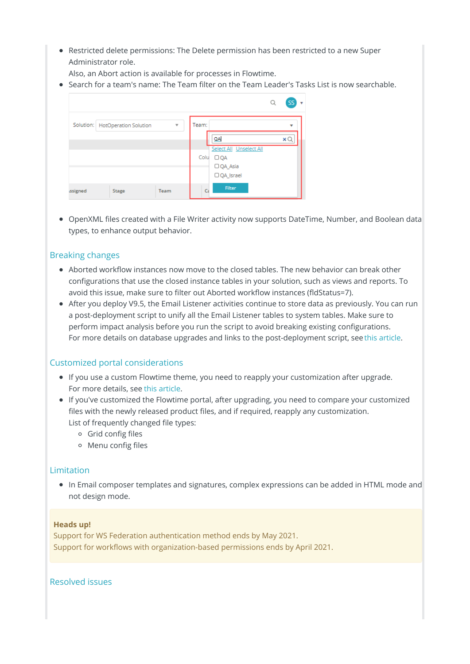• Restricted delete permissions: The Delete permission has been restricted to a new Super Administrator role.

Also, an Abort action is available for processes in Flowtime.

Search for a team's name: The Team filter on the Team Leader's Tasks List is now searchable.

|                                                 | <b>SS</b>                                    |
|-------------------------------------------------|----------------------------------------------|
| Solution: HotOperation Solution<br>$\mathbf{v}$ | Team:<br>۰                                   |
|                                                 | QA<br>×О<br>Select All Unselect All          |
|                                                 | Colu<br>$\Box$ QA<br>□ QA_Asia               |
| Team<br>ssigned<br><b>Stage</b>                 | $\Box$ QA_Israel<br>Filter<br>$C_{\epsilon}$ |

OpenXML files created with a File Writer activity now supports DateTime, Number, and Boolean data types, to enhance output behavior.

## Breaking changes

- Aborted workflow instances now move to the closed tables. The new behavior can break other configurations that use the closed instance tables in your solution, such as views and reports. To avoid this issue, make sure to filter out Aborted workflow instances (fldStatus=7).
- After you deploy V9.5, the Email Listener activities continue to store data as previously. You can run a post-deployment script to unify all the Email Listener tables to system tables. Make sure to perform impact analysis before you run the script to avoid breaking existing configurations. For more details on database upgrades and links to the post-deployment script, seethis article.

#### Customized portal considerations

- If you use a custom Flowtime theme, you need to reapply your customization after upgrade. For more details, see this article.
- If you've customized the Flowtime portal, after upgrading, you need to compare your customized files with the newly released product files, and if required, reapply any customization. List of frequently changed file types:
	- Grid config files
	- Menu config files

#### Limitation

In Email composer templates and signatures, complex expressions can be added in HTML mode and not design mode.

#### **Heads up!**

Support for WS Federation authentication method ends by May 2021. Support for workflows with organization-based permissions ends by April 2021.

Resolved issues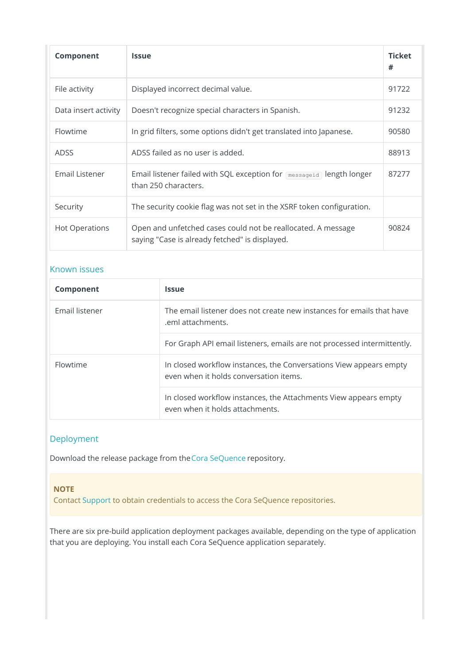| Component            | <b>Issue</b>                                                                                                   | <b>Ticket</b><br># |
|----------------------|----------------------------------------------------------------------------------------------------------------|--------------------|
| File activity        | Displayed incorrect decimal value.                                                                             | 91722              |
| Data insert activity | Doesn't recognize special characters in Spanish.                                                               | 91232              |
| Flowtime             | In grid filters, some options didn't get translated into Japanese.                                             | 90580              |
| <b>ADSS</b>          | ADSS failed as no user is added.                                                                               | 88913              |
| Email Listener       | Email listener failed with SQL exception for <b>messageid</b> length longer<br>than 250 characters.            |                    |
| Security             | The security cookie flag was not set in the XSRF token configuration.                                          |                    |
| Hot Operations       | Open and unfetched cases could not be reallocated. A message<br>saying "Case is already fetched" is displayed. | 90824              |

### Known issues

| Component             | <b>Issue</b>                                                                                                 |
|-----------------------|--------------------------------------------------------------------------------------------------------------|
| <b>Email listener</b> | The email listener does not create new instances for emails that have<br>eml attachments.                    |
|                       | For Graph API email listeners, emails are not processed intermittently.                                      |
| Flowtime              | In closed workflow instances, the Conversations View appears empty<br>even when it holds conversation items. |
|                       | In closed workflow instances, the Attachments View appears empty<br>even when it holds attachments.          |

## Deployment

Download the release package from theCora SeQuence repository.

## **NOTE**

Contact Support to obtain credentials to access the Cora SeQuence repositories.

There are six pre-build application deployment packages available, depending on the type of application that you are deploying. You install each Cora SeQuence application separately.